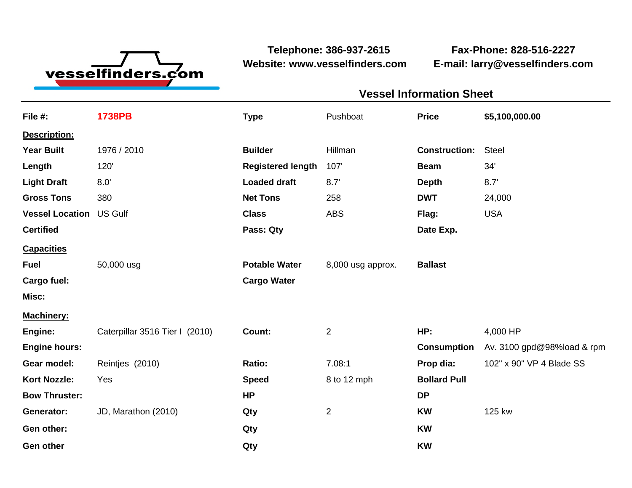

**Website: www.vesselfinders.com E-mail: larry@vesselfinders.com**

**Telephone: 386-937-2615 Fax-Phone: 828-516-2227**

| <b>Vessel Information Sheet</b>                                                       |                                        |
|---------------------------------------------------------------------------------------|----------------------------------------|
|                                                                                       | Pushboat <b>Price</b> \$5,100,000.00   |
|                                                                                       |                                        |
| Builder Hillman Construction: Steel                                                   |                                        |
| Registered length 107'<br>Beam 34'                                                    |                                        |
| Depth 8.7'                                                                            |                                        |
| Net Tons 258                                                                          | <b>DWT</b> 24,000                      |
| Flag: USA<br><b>Class</b> ABS<br>Date Exp.                                            |                                        |
|                                                                                       |                                        |
| Potable Water 8,000 usg approx. Ballast                                               |                                        |
|                                                                                       |                                        |
|                                                                                       |                                        |
| Machinery:<br>Engine:                 Caterpillar 3516 Tier I  (2010) <b>Count:</b> 2 |                                        |
|                                                                                       | HP: 4,000 HP                           |
|                                                                                       | Consumption Av. 3100 gpd@98%load & rpm |
|                                                                                       | Prop dia: 102" x 90" VP 4 Blade SS     |
| 8 to 12 mph <b>Bollard Pull</b>                                                       |                                        |
|                                                                                       | <b>KW</b> 125 kw                       |
|                                                                                       |                                        |
|                                                                                       |                                        |